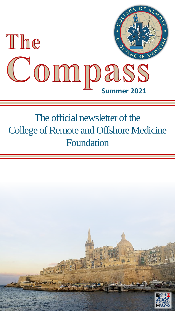

## The official newsletter of the College of Remote and Offshore Medicine Foundation

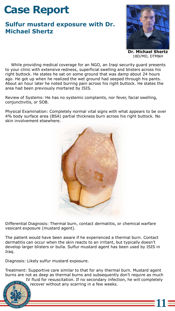## **Case Report**

## **Sulfur mustard exposure with Dr. Michael Shertz**



**Dr. Michael Shertz** 18D/MD, DTM&H

**11**

While providing medical coverage for an NGO, an Iraqi security guard presents to your clinic with extensive redness, superficial swelling and blisters across his right buttock. He states he sat on some ground that was damp about 24 hours ago. He got up when he realized the wet ground had seeped through his pants. About an hour later he noted burring pain across his right buttock. He states the area had been previously mortared by ISIS.

Review of Systems: He has no systemic complaints, nor fever, facial swelling, conjunctivitis, or SOB.

Physical Examination: Completely normal vital signs with what appears to be over 4% body surface area (BSA) partial thickness burn across his right buttock. No skin involvement elsewhere.



Differential Diagnosis: Thermal burn, contact dermatitis, or chemical warfare vesicant exposure (mustard agent).

The patient would have been aware if he experienced a thermal burn. Contact dermatitis can occur when the skin reacts to an irritant, but typically doesn't develop larger blisters or bulla. Sulfur mustard agent has been used by ISIS in Iraq.

Diagnosis: Likely sulfur mustard exposure.

Treatment: Supportive care similar to that for any thermal burn. Mustard agent burns are not as deep as thermal burns and subsequently don't require as much

IV fluid for resuscitation. If no secondary infection, he will completely recover without any scarring in a few weeks.